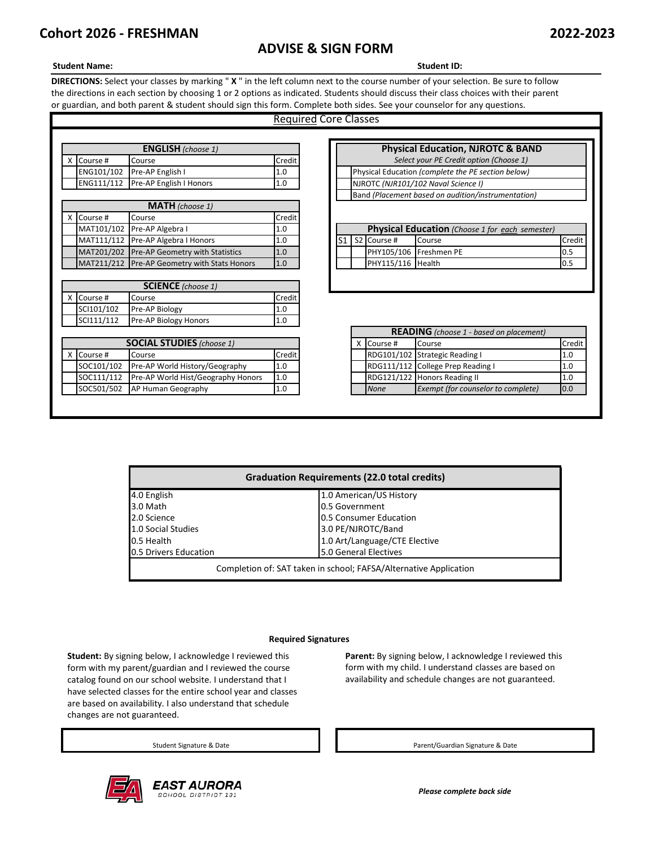# **ADVISE & SIGN FORM**

# **Student Name: Student ID:**

**DIRECTIONS:** Select your classes by marking " **X** " in the left column next to the course number of your selection. Be sure to follow the directions in each section by choosing 1 or 2 options as indicated. Students should discuss their class choices with their parent or guardian, and both parent & student should sign this form. Complete both sides. See your counselor for any questions.

# Required Core Classes

| <b>ENGLISH</b> (choose 1) |          |                                    |          |  | <b>Physical Education, NJROTC &amp; BA</b>         |
|---------------------------|----------|------------------------------------|----------|--|----------------------------------------------------|
|                           | Course # | Course                             | Credit l |  | Select your PE Credit option (Choose 1)            |
|                           |          | ENG101/102 Pre-AP English I        | 1.0      |  | Physical Education (complete the PE section below) |
|                           |          | ENG111/112 Pre-AP English I Honors | 1.0      |  | NJROTC (NJR101/102 Naval Science I)                |
|                           |          |                                    |          |  |                                                    |

|            | <b>MATH</b> (choose 1)                       |         |
|------------|----------------------------------------------|---------|
| X Course # | Course                                       | Credit  |
|            | MAT101/102 Pre-AP Algebra I                  | $1.0\,$ |
|            | MAT111/112 Pre-AP Algebra I Honors           | 1.0     |
|            | MAT201/202 Pre-AP Geometry with Statistics   | 1.0     |
|            | MAT211/212 Pre-AP Geometry with Stats Honors | 1.0     |

| <b>SCIENCE</b> (choose 1) |                              |        |  |  |  |  |
|---------------------------|------------------------------|--------|--|--|--|--|
| X Course #                | Course                       | Credit |  |  |  |  |
| SCI101/102                | Pre-AP Biology               | 1.0    |  |  |  |  |
| SCI111/112                | <b>Pre-AP Biology Honors</b> |        |  |  |  |  |

|            | <b>SOCIAL STUDIES</b> (choose 1) |                                    |        |  |  |  |
|------------|----------------------------------|------------------------------------|--------|--|--|--|
|            | X Course #                       | Course                             | Credit |  |  |  |
| SOC101/102 |                                  | Pre-AP World History/Geography     | 1.0    |  |  |  |
|            | SOC111/112                       | Pre-AP World Hist/Geography Honors | 1.0    |  |  |  |
| SOC501/502 |                                  | AP Human Geography                 | 1.0    |  |  |  |

|                                                    | <b>Physical Education, NJROTC &amp; BAND</b>       |  |  |  |  |  |
|----------------------------------------------------|----------------------------------------------------|--|--|--|--|--|
|                                                    | Select your PE Credit option (Choose 1)            |  |  |  |  |  |
|                                                    | Physical Education (complete the PE section below) |  |  |  |  |  |
|                                                    | NJROTC (NJR101/102 Naval Science I)                |  |  |  |  |  |
| Band (Placement based on audition/instrumentation) |                                                    |  |  |  |  |  |
|                                                    |                                                    |  |  |  |  |  |
|                                                    |                                                    |  |  |  |  |  |
|                                                    | Physical Education (Choose 1 for each semester)    |  |  |  |  |  |
| $C_{2}$                                            | $C$ <sub>rad</sub> :<br>$C_{2}$                    |  |  |  |  |  |

|  | X Course # | Course                             | <b>Credit</b>       |  |             |                                                |        |
|--|------------|------------------------------------|---------------------|--|-------------|------------------------------------------------|--------|
|  | SCI101/102 | Pre-AP Biology                     | 1.0                 |  |             |                                                |        |
|  | SCI111/112 | Pre-AP Biology Honors              | 1.0                 |  |             |                                                |        |
|  |            |                                    |                     |  |             | <b>READING</b> (choose 1 - based on placement) |        |
|  |            | <b>SOCIAL STUDIES</b> (choose 1)   |                     |  | X Course #  | Course                                         | Credit |
|  | X Course # | Course                             | Credit <sup>1</sup> |  |             | RDG101/102 Strategic Reading I                 | 1.0    |
|  | SOC101/102 | Pre-AP World History/Geography     | 1.0                 |  |             | RDG111/112 College Prep Reading I              | 1.0    |
|  | SOC111/112 | Pre-AP World Hist/Geography Honors | 1.0                 |  |             | RDG121/122 Honors Reading II                   | 1.0    |
|  | SOC501/502 | AP Human Geography                 | 1.0                 |  | <b>None</b> | Exempt (for counselor to complete)             | 0.0    |

| <b>Graduation Requirements (22.0 total credits)</b>               |                               |  |  |  |  |
|-------------------------------------------------------------------|-------------------------------|--|--|--|--|
| 4.0 English                                                       | 1.0 American/US History       |  |  |  |  |
| 3.0 Math                                                          | 0.5 Government                |  |  |  |  |
| 2.0 Science                                                       | 0.5 Consumer Education        |  |  |  |  |
| 1.0 Social Studies                                                | 3.0 PE/NJROTC/Band            |  |  |  |  |
| 0.5 Health                                                        | 1.0 Art/Language/CTE Elective |  |  |  |  |
| 0.5 Drivers Education                                             | 5.0 General Electives         |  |  |  |  |
| Completion of: SAT taken in school; FAFSA/Alternative Application |                               |  |  |  |  |

### **Required Signatures**

**Student:** By signing below, I acknowledge I reviewed this form with my parent/guardian and I reviewed the course catalog found on our school website. I understand that I have selected classes for the entire school year and classes are based on availability. I also understand that schedule changes are not guaranteed.



Parent: By signing below, I acknowledge I reviewed this form with my child. I understand classes are based on availability and schedule changes are not guaranteed.

Student Signature & Date **Parent/Guardian Signature & Date** Parent/Guardian Signature & Date

*Please complete back side*